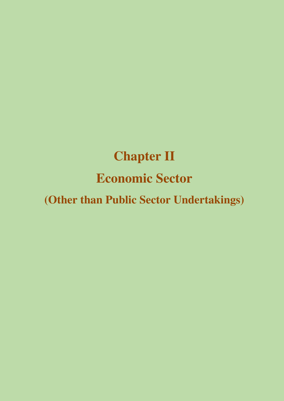# **Chapter II Economic Sector**

**(Other than Public Sector Undertakings)**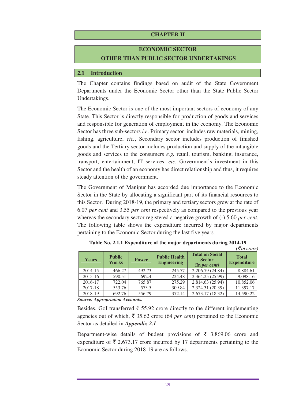## **CHAPTER II**

# **ECONOMIC SECTOR OTHER THAN PUBLIC SECTOR UNDERTAKINGS**

#### **2.1 Introduction**

The Chapter contains findings based on audit of the State Government Departments under the Economic Sector other than the State Public Sector Undertakings.

The Economic Sector is one of the most important sectors of economy of any State. This Sector is directly responsible for production of goods and services and responsible for generation of employment in the economy. The Economic Sector has three sub-sectors *i.e*. Primary sector includes raw materials, mining, fishing, agriculture, *etc.*, Secondary sector includes production of finished goods and the Tertiary sector includes production and supply of the intangible goods and services to the consumers *e.g.* retail, tourism, banking, insurance, transport, entertainment, IT services, *etc.* Government's investment in this Sector and the health of an economy has direct relationship and thus, it requires steady attention of the government.

The Government of Manipur has accorded due importance to the Economic Sector in the State by allocating a significant part of its financial resources to this Sector. During 2018-19, the primary and tertiary sectors grew at the rate of 6.07 *per cent* and 3.55 *per cent* respectively as compared to the previous year whereas the secondary sector registered a negative growth of (-) 5.60 *per cent*. The following table shows the expenditure incurred by major departments pertaining to the Economic Sector during the last five years.

| <b>Years</b> | <b>Public</b><br><b>Works</b> | <b>Power</b> | <b>Public Health</b><br><b>Engineering</b> | <b>Total on Social</b><br><b>Sector</b><br>$($ In <i>per cent</i> $)$ | $\mathcal{L}$ in crore,<br><b>Total</b><br><b>Expenditure</b> |
|--------------|-------------------------------|--------------|--------------------------------------------|-----------------------------------------------------------------------|---------------------------------------------------------------|
| 2014-15      | 466.27                        | 492.73       | 245.77                                     | 2,206.79 (24.84)                                                      | 8,884.61                                                      |
| $2015 - 16$  | 590.51                        | 692.4        | 224.48                                     | 2,364.25 (25.99)                                                      | 9,098.16                                                      |
| 2016-17      | 722.04                        | 765.87       | 275.29                                     | 2,814.63 (25.94)                                                      | 10,852.06                                                     |
| 2017-18      | 553.76                        | 573.5        | 309.84                                     | 2,324.31 (20.39)                                                      | 11,397.17                                                     |
| 2018-19      | 692.76                        | 556.79       | 372.14                                     | 2,673.17 (18.32)                                                      | 14,590.22                                                     |

**Table No. 2.1.1 Expenditure of the major departments during 2014-19**   $(\vec{z}$  *in crore*)

*Source: Appropriation Accounts.* 

Besides, GoI transferred  $\bar{\xi}$  55.92 crore directly to the different implementing agencies out of which,  $\bar{\tau}$  35.62 crore (64 *per cent*) pertained to the Economic Sector as detailed in *Appendix 2.1*.

Department-wise details of budget provisions of  $\bar{\tau}$  3,869.06 crore and expenditure of  $\bar{\tau}$  2,673.17 crore incurred by 17 departments pertaining to the Economic Sector during 2018-19 are as follows.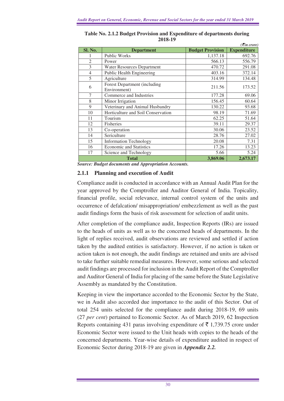|                |                                                     |                         | $\left(\frac{1}{2}in\right)$ crore) |
|----------------|-----------------------------------------------------|-------------------------|-------------------------------------|
| Sl. No.        | <b>Department</b>                                   | <b>Budget Provision</b> | <b>Expenditure</b>                  |
|                | <b>Public Works</b>                                 | 1,137.18                | 692.76                              |
| $\overline{2}$ | Power                                               | 566.13                  | 556.79                              |
| 3              | <b>Water Resources Department</b>                   | 470.72                  | 291.08                              |
| $\overline{4}$ | Public Health Engineering                           | 403.16                  | 372.14                              |
| 5              | Agriculture                                         | 314.99                  | 134.48                              |
| 6              | <b>Forest Department (including</b><br>Environment) | 211.56                  | 173.52                              |
| 7              | Commerce and Industries                             | 177.28                  | 69.06                               |
| 8              | Minor Irrigation                                    | 156.45                  | 60.64                               |
| 9              | Veterinary and Animal Husbandry                     | 130.22                  | 93.68                               |
| 10             | Horticulture and Soil Conservation                  | 98.19                   | 71.69                               |
| 11             | Tourism                                             | 62.25                   | 51.64                               |
| 12             | <b>Fisheries</b>                                    | 39.11                   | 29.37                               |
| 13             | Co-operation                                        | 30.06                   | 23.52                               |
| 14             | Sericulture                                         | 28.76                   | 27.02                               |
| 15             | <b>Information Technology</b>                       | 20.08                   | 7.31                                |
| 16             | <b>Economic and Statistics</b>                      | 17.26                   | 13.23                               |
| 17             | Science and Technology                              | 5.66                    | 5.24                                |
|                | <b>Total</b>                                        | 3,869.06                | 2,673.17                            |

**Table No. 2.1.2 Budget Provision and Expenditure of departments during 2018-19** 

*Source: Budget documents and Appropriation Accounts.* 

## **2.1.1 Planning and execution of Audit**

Compliance audit is conducted in accordance with an Annual Audit Plan for the year approved by the Comptroller and Auditor General of India. Topicality, financial profile, social relevance, internal control system of the units and occurrence of defalcation/ misappropriation/ embezzlement as well as the past audit findings form the basis of risk assessment for selection of audit units.

After completion of the compliance audit, Inspection Reports (IRs) are issued to the heads of units as well as to the concerned heads of departments. In the light of replies received, audit observations are reviewed and settled if action taken by the audited entities is satisfactory. However, if no action is taken or action taken is not enough, the audit findings are retained and units are advised to take further suitable remedial measures. However, some serious and selected audit findings are processed for inclusion in the Audit Report of the Comptroller and Auditor General of India for placing of the same before the State Legislative Assembly as mandated by the Constitution.

Keeping in view the importance accorded to the Economic Sector by the State, we in Audit also accorded due importance to the audit of this Sector. Out of total 254 units selected for the compliance audit during 2018-19, 69 units (27 *per cent*) pertained to Economic Sector. As of March 2019, 62 Inspection Reports containing 431 paras involving expenditure of  $\bar{\tau}$  1,739.75 crore under Economic Sector were issued to the Unit heads with copies to the heads of the concerned departments. Year-wise details of expenditure audited in respect of Economic Sector during 2018-19 are given in *Appendix 2.2.*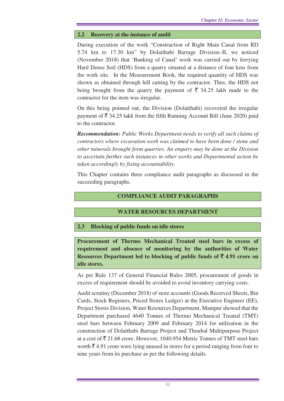# **2.2 Recovery at the instance of audit**

During execution of the work "Construction of Right Main Canal from RD 5.74 km to 17.30 km" by Dolaithabi Barrage Division–II, we noticed (November 2018) that 'Banking of Canal' work was carried out by ferrying Hard Dense Soil (HDS) from a quarry situated at a distance of four kms from the work site. In the Measurement Book, the required quantity of HDS was shown as obtained through hill cutting by the contractor. Thus, the HDS not being brought from the quarry the payment of  $\bar{\tau}$  34.25 lakh made to the contractor for the item was irregular.

On this being pointed out, the Division (Dolaithabi) recovered the irregular payment of  $\bar{\mathfrak{F}}$  34.25 lakh from the fifth Running Account Bill (June 2020) paid to the contractor.

*Recommendation: Public Works Department needs to verify all such claims of contractors where excavation work was claimed to have been done / stone and other minerals brought form quarries. An enquiry may be done at the Division to ascertain further such instances in other works and Departmental action be taken accordingly by fixing accountability.* 

This Chapter contains three compliance audit paragraphs as discussed in the succeeding paragraphs.

# **COMPLIANCE AUDIT PARAGRAPHS**

# **WATER RESOURCES DEPARTMENT**

# **2.3 Blocking of public funds on idle stores**

**Procurement of Thermo Mechanical Treated steel bars in excess of requirement and absence of monitoring by the authorities of Water Resources Department led to blocking of public funds of**  $\bar{\tau}$  **4.91 crore on idle stores.** 

As per Rule 137 of General Financial Rules 2005, procurement of goods in excess of requirement should be avoided to avoid inventory carrying costs.

Audit scrutiny (December 2018) of store accounts (Goods Received Sheets, Bin Cards, Stock Registers, Priced Stores Ledger) at the Executive Engineer (EE), Project Stores Division, Water Resources Department, Manipur showed that the Department purchased 4640 Tonnes of Thermo Mechanical Treated (TMT) steel bars between February 2009 and February 2014 for utilisation in the construction of Dolaithabi Barrage Project and Thoubal Multipurpose Project at a cost of  $\bar{\tau}$  21.68 crore. However, 1040.954 Metric Tonnes of TMT steel bars worth  $\bar{\mathcal{F}}$  4.91 crore were lying unused in stores for a period ranging from four to nine years from its purchase as per the following details.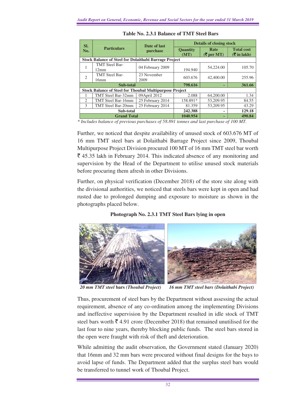| SI.                                                            |                               | Date of last<br>purchase | <b>Details of closing stock</b> |                                                    |                                                                                 |
|----------------------------------------------------------------|-------------------------------|--------------------------|---------------------------------|----------------------------------------------------|---------------------------------------------------------------------------------|
| No.                                                            | <b>Particulars</b>            |                          | <b>Quantity</b><br>(MT)         | Rate<br>$(\overline{\mathbf{\mathcal{F}}}$ per MT) | <b>Total cost</b><br>$($ \mearpoontaged in fact lines in fact that $\mathbf{R}$ |
| <b>Stock Balance of Steel for Dolaithabi Barrage Project</b>   |                               |                          |                                 |                                                    |                                                                                 |
|                                                                | <b>TMT</b> Steel Bar-<br>12mm | 04 February 2009         | 194.940                         | 54,224.00                                          | 105.70                                                                          |
| $\overline{2}$                                                 | <b>TMT</b> Steel Bar-<br>16mm | 23 November<br>2009      | 603.676                         | 42,400.00                                          | 255.96                                                                          |
| Sub-total                                                      |                               |                          | 798.616                         |                                                    | 361.66                                                                          |
| <b>Stock Balance of Steel for Thoubal Multipurpose Project</b> |                               |                          |                                 |                                                    |                                                                                 |
|                                                                | TMT Steel Bar-32mm            | 09 April 2012            | 2.088                           | 64,200.00                                          | 1.34                                                                            |
| $\mathfrak{D}_{\mathfrak{p}}$                                  | TMT Steel Bar-16mm            | 25 February 2014         | 158.891*                        | 53,209.95                                          | 84.55                                                                           |
| 3                                                              | TMT Steel Bar-20mm            | 25 February 2014         | 81.359                          | 53,209.95                                          | 43.29                                                                           |
| Sub-total                                                      |                               |                          | 242.388                         |                                                    | 129.18                                                                          |
| <b>Grand Total</b>                                             |                               |                          | 1040.954<br>$0 - 0 - 0 - 0$     |                                                    | 490.84<br>. <i>.</i>                                                            |

**Table No. 2.3.1 Balance of TMT Steel Bars** 

*\* Includes balance of previous purchases of 58.891 tonnes and last purchase of 100 MT.* 

Further, we noticed that despite availability of unused stock of 603.676 MT of 16 mm TMT steel bars at Dolaithabi Barrage Project since 2009, Thoubal Multipurpose Project Division procured 100 MT of 16 mm TMT steel bar worth  $\bar{\xi}$  45.35 lakh in February 2014. This indicated absence of any monitoring and supervision by the Head of the Department to utilise unused stock materials before procuring them afresh in other Divisions.

Further, on physical verification (December 2018) of the store site along with the divisional authorities, we noticed that steels bars were kept in open and had rusted due to prolonged dumping and exposure to moisture as shown in the photographs placed below.

## **Photograph No. 2.3.1 TMT Steel Bars lying in open**



*20 mm TMT steel* **bars** *(Thoubal Project) 16 mm TMT steel bars (Dolaithabi Project)* 

Thus, procurement of steel bars by the Department without assessing the actual requirement, absence of any co-ordination among the implementing Divisions and ineffective supervision by the Department resulted in idle stock of TMT steel bars worth  $\bar{\mathcal{F}}$  4.91 crore (December 2018) that remained unutilised for the last four to nine years, thereby blocking public funds. The steel bars stored in the open were fraught with risk of theft and deterioration.

While admitting the audit observation, the Government stated (January 2020) that 16mm and 32 mm bars were procured without final designs for the bays to avoid lapse of funds. The Department added that the surplus steel bars would be transferred to tunnel work of Thoubal Project.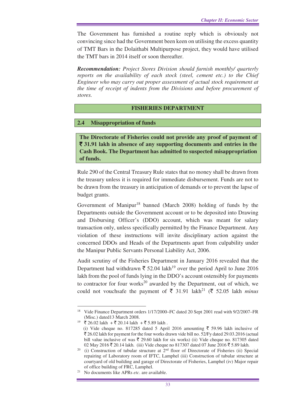The Government has furnished a routine reply which is obviously not convincing since had the Government been keen on utilising the excess quantity of TMT Bars in the Dolaithabi Multipurpose project, they would have utilised the TMT bars in 2014 itself or soon thereafter.

*Recommendation: Project Stores Division should furnish monthly/ quarterly reports on the availability of each stock (steel, cement etc.) to the Chief Engineer who may carry out proper assessment of actual stock requirement at the time of receipt of indents from the Divisions and before procurement of stores.* 

#### **FISHERIES DEPARTMENT**

#### **2.4 Misappropriation of funds**

**The Directorate of Fisheries could not provide any proof of payment of**  ` **31.91 lakh in absence of any supporting documents and entries in the Cash Book. The Department has admitted to suspected misappropriation of funds.** 

Rule 290 of the Central Treasury Rule states that no money shall be drawn from the treasury unless it is required for immediate disbursement. Funds are not to be drawn from the treasury in anticipation of demands or to prevent the lapse of budget grants.

Government of Manipur<sup>18</sup> banned (March 2008) holding of funds by the Departments outside the Government account or to be deposited into Drawing and Disbursing Officer's (DDO) account, which was meant for salary transaction only, unless specifically permitted by the Finance Department. Any violation of these instructions will invite disciplinary action against the concerned DDOs and Heads of the Departments apart from culpability under the Manipur Public Servants Personal Liability Act, 2006.

Audit scrutiny of the Fisheries Department in January 2016 revealed that the Department had withdrawn  $\bar{\xi}$  52.04 lakh<sup>19</sup> over the period April to June 2016 lakh from the pool of funds lying in the DDO's account ostensibly for payments to contractor for four works $^{20}$  awarded by the Department, out of which, we could not vouchsafe the payment of  $\bar{\tau}$  31.91 lakh<sup>21</sup> ( $\bar{\tau}$  52.05 lakh *minus* 

 $\overline{a}$ 

<sup>&</sup>lt;sup>18</sup> Vide Finance Department orders 1/17/2000–FC dated 20 Sept 2001 read with 9/2/2007–FR (Misc.) dated13 March 2008.

 $19$  ₹ 26.02 lakh + ₹ 20.14 lakh + ₹ 5.89 lakh.

<sup>(</sup>i) Vide cheque no. 817285 dated 5 April 2016 amounting  $\bar{\tau}$  59.96 lakh inclusive of  $\bar{\xi}$  26.02 lakh for payment for the four works drawn vide bill no. 52/Fy dated 29.03.2016 (actual bill value inclusive of was  $\bar{\tau}$  29.60 lakh for six works) (ii) Vide cheque no. 817305 dated 02 May 2016 ₹ 20.14 lakh. (iii) Vide cheque no 817307 dated 07 June 2016 ₹ 5.89 lakh.

<sup>&</sup>lt;sup>20</sup> (i) Construction of tubular structure at  $2<sup>nd</sup>$  floor of Directorate of Fisheries (ii) Special repairing of Laboratory room of IFTC, Lamphel (iii) Construction of tubular structure at courtyard of old building and garage of Directorate of Fisheries, Lamphel (iv) Major repair of office building of FRC, Lamphel.

<sup>21</sup> No documents like APRs *etc*. are available.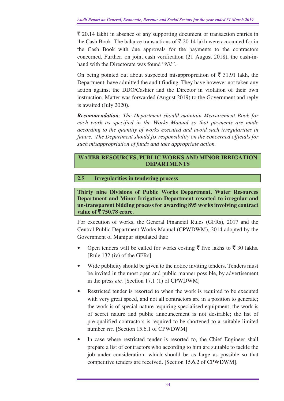$\bar{\tau}$  20.14 lakh) in absence of any supporting document or transaction entries in the Cash Book. The balance transactions of  $\bar{\tau}$  20.14 lakh were accounted for in the Cash Book with due approvals for the payments to the contractors concerned. Further, on joint cash verification (21 August 2018), the cash-inhand with the Directorate was found "*Nil"*.

On being pointed out about suspected misappropriation of  $\bar{\bar{\xi}}$  31.91 lakh, the Department, have admitted the audit finding. They have however not taken any action against the DDO/Cashier and the Director in violation of their own instruction. Matter was forwarded (August 2019) to the Government and reply is awaited (July 2020).

*Recommendation: The Department should maintain Measurement Book for each work as specified in the Works Manual so that payments are made according to the quantity of works executed and avoid such irregularities in future. The Department should fix responsibility on the concerned officials for such misappropriation of funds and take appropriate action.* 

# **WATER RESOURCES, PUBLIC WORKS AND MINOR IRRIGATION DEPARTMENTS**

# **2.5 Irregularities in tendering process**

**Thirty nine Divisions of Public Works Department, Water Resources Department and Minor Irrigation Department resorted to irregular and un-transparent bidding process for awarding 895 works involving contract value of** ` **750.78 crore.** 

For execution of works, the General Financial Rules (GFRs), 2017 and the Central Public Department Works Manual (CPWDWM), 2014 adopted by the Government of Manipur stipulated that:

- Open tenders will be called for works costing  $\bar{\tau}$  five lakhs to  $\bar{\tau}$  30 lakhs. [Rule 132 (iv) of the GFRs]
- Wide publicity should be given to the notice inviting tenders. Tenders must be invited in the most open and public manner possible, by advertisement in the press *etc.* [Section 17.1 (1) of CPWDWM]
- Restricted tender is resorted to when the work is required to be executed with very great speed, and not all contractors are in a position to generate; the work is of special nature requiring specialised equipment; the work is of secret nature and public announcement is not desirable; the list of pre-qualified contractors is required to be shortened to a suitable limited number *etc*. [Section 15.6.1 of CPWDWM]
- In case where restricted tender is resorted to, the Chief Engineer shall prepare a list of contractors who according to him are suitable to tackle the job under consideration, which should be as large as possible so that competitive tenders are received. [Section 15.6.2 of CPWDWM].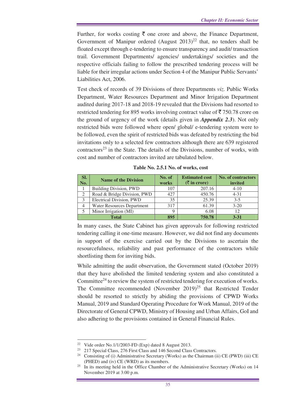Further, for works costing  $\bar{\tau}$  one crore and above, the Finance Department, Government of Manipur ordered  $(August 2013)^{22}$  that, no tenders shall be floated except through e-tendering to ensure transparency and audit/ transaction trail. Government Departments/ agencies/ undertakings/ societies and the respective officials failing to follow the prescribed tendering process will be liable for their irregular actions under Section 4 of the Manipur Public Servants' Liabilities Act, 2006.

Test check of records of 39 Divisions of three Departments *viz.* Public Works Department, Water Resources Department and Minor Irrigation Department audited during 2017-18 and 2018-19 revealed that the Divisions had resorted to restricted tendering for 895 works involving contract value of  $\bar{\tau}$  750.78 crore on the ground of urgency of the work (details given in *Appendix 2.3*). Not only restricted bids were followed where open/ global/ e-tendering system were to be followed, even the spirit of restricted bids was defeated by restricting the bid invitations only to a selected few contractors although there are 639 registered  $contractors<sup>23</sup>$  in the State. The details of the Divisions, number of works, with cost and number of contractors invited are tabulated below.

| SI.<br>No.     | <b>Name of the Division</b>       | No. of<br>works | <b>Estimated cost</b><br>$(\bar{z})$ in crore) | <b>No. of contractors</b><br>invited |
|----------------|-----------------------------------|-----------------|------------------------------------------------|--------------------------------------|
|                | Building Division, PWD            | 107             | 207.16                                         | $4 - 10$                             |
| $\overline{c}$ | Road & Bridge Division, PWD       | 42.7            | 450.76                                         | $4 - 31$                             |
| 3              | Electrical Division, PWD          | 35              | 25.39                                          | $3 - 5$                              |
| 4              | <b>Water Resources Department</b> | 317             | 61.39                                          | $3 - 20$                             |
|                | Minor Irrigation (MI)             |                 | 6.08                                           | 12                                   |
|                | <b>Total</b>                      | 895             | 750.78                                         | $3 - 31$                             |

**Table No. 2.5.1 No. of works, cost** 

In many cases, the State Cabinet has given approvals for following restricted tendering calling it one-time measure. However, we did not find any documents in support of the exercise carried out by the Divisions to ascertain the resourcefulness, reliability and past performance of the contractors while shortlisting them for inviting bids.

While admitting the audit observation, the Government stated (October 2019) that they have abolished the limited tendering system and also constituted a Committee<sup>24</sup> to review the system of restricted tendering for execution of works. The Committee recommended (November  $2019)^{25}$  that Restricted Tender should be resorted to strictly by abiding the provisions of CPWD Works Manual, 2019 and Standard Operating Procedure for Work Manual, 2019 of the Directorate of General CPWD, Ministry of Housing and Urban Affairs, GoI and also adhering to the provisions contained in General Financial Rules.

 $\overline{a}$ 

<sup>22</sup> Vide order No.1/1/2003-FD (Exp) dated 8 August 2013.

<sup>&</sup>lt;sup>23</sup> 217 Special Class, 276 First Class and 146 Second Class Contractors.

<sup>24</sup> Consisting of (i) Administrative Secretary (Works) as the Chairman (ii) CE (PWD) (iii) CE (PHED) and (iv) CE (WRD) as its members.

<sup>&</sup>lt;sup>25</sup> In its meeting held in the Office Chamber of the Administrative Secretary (Works) on 14 November 2019 at 3:00 p.m.